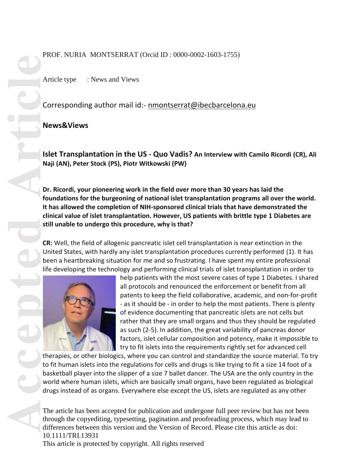#### PROF. NURIA MONTSERRAT (Orcid ID : 0000-0002-1603-1755)

Article type : News and Views

Corresponding author mail id:- [nmontserrat@ibecbarcelona.eu](mailto:nmontserrat@ibecbarcelona.eu)

#### **News&Views**

**Islet Transplantation in the US - Quo Vadis? An Interview with Camilo Ricordi (CR), Ali Naji (AN), Peter Stock (PS), Piotr Witkowski (PW)**

**Dr. Ricordi, your pioneering work in the field over more than 30 years has laid the foundations for the burgeoning of national islet transplantation programs all over the world. It has allowed the completion of NIH-sponsored clinical trials that have demonstrated the clinical value of islet transplantation. However, US patients with brittle type 1 Diabetes are still unable to undergo this procedure, why is that?**

**CR:** Well, the field of allogenic pancreatic islet cell transplantation is near extinction in the United States, with hardly any islet transplantation procedures currently performed (1). It has been a heartbreaking situation for me and so frustrating. I have spent my entire professional life developing the technology and performing clinical trials of islet transplantation in order to



help patients with the most severe cases of type 1 Diabetes. I shared all protocols and renounced the enforcement or benefit from all patents to keep the field collaborative, academic, and non-for-profit - as it should be - in order to help the most patients. There is plenty of evidence documenting that pancreatic islets are not cells but rather that they are small organs and thus they should be regulated as such (2-5). In addition, the great variability of pancreas donor factors, islet cellular composition and potency, make it impossible to try to fit islets into the requirements rightly set for advanced cell

therapies, or other biologics, where you can control and standardize the source material. To try to fit human islets into the regulations for cells and drugs is like trying to fit a size 14 foot of a basketball player into the slipper of a size 7 ballet dancer. The USA are the only country in the world where human islets, which are basically small organs, have been regulated as biological drugs instead of as organs. Everywhere else except the US, islets are regulated as any other

The article has been accepted for publication and undergone full peer review but has not been through the copyediting, typesetting, pagination and proofreading process, which may lead to differences between this version and the Version of Record. Please cite this article as doi: 10.1111/TRI.13931

This article is protected by copyright. All rights reserved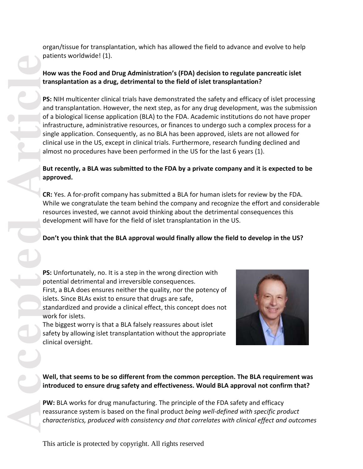organ/tissue for transplantation, which has allowed the field to advance and evolve to help patients worldwide! (1).

### **How was the Food and Drug Administration's (FDA) decision to regulate pancreatic islet transplantation as a drug, detrimental to the field of islet transplantation?**

**PS:** NIH multicenter clinical trials have demonstrated the safety and efficacy of islet processing and transplantation. However, the next step, as for any drug development, was the submission of a biological license application (BLA) to the FDA. Academic institutions do not have proper infrastructure, administrative resources, or finances to undergo such a complex process for a single application. Consequently, as no BLA has been approved, islets are not allowed for clinical use in the US, except in clinical trials. Furthermore, research funding declined and almost no procedures have been performed in the US for the last 6 years (1).

## **But recently, a BLA was submitted to the FDA by a private company and it is expected to be approved.**

**CR:** Yes. A for-profit company has submitted a BLA for human islets for review by the FDA. While we congratulate the team behind the company and recognize the effort and considerable resources invested, we cannot avoid thinking about the detrimental consequences this development will have for the field of islet transplantation in the US.

# **Don't you think that the BLA approval would finally allow the field to develop in the US?**

**PS:** Unfortunately, no. It is a step in the wrong direction with potential detrimental and irreversible consequences. First, a BLA does ensures neither the quality, nor the potency of islets. Since BLAs exist to ensure that drugs are safe, standardized and provide a clinical effect, this concept does not work for islets.

The biggest worry is that a BLA falsely reassures about islet safety by allowing islet transplantation without the appropriate clinical oversight.



### **Well, that seems to be so different from the common perception. The BLA requirement was introduced to ensure drug safety and effectiveness. Would BLA approval not confirm that?**

**PW:** BLA works for drug manufacturing. The principle of the FDA safety and efficacy reassurance system is based on the final product *being well-defined with specific product characteristics, produced with consistency and that correlates with clinical effect and outcomes*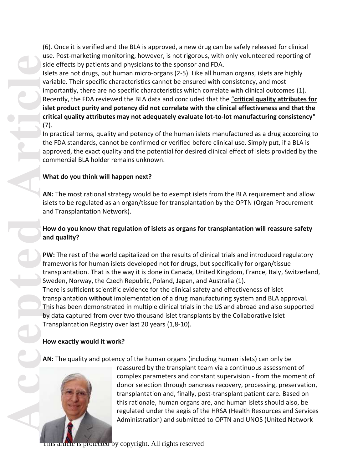(6). Once it is verified and the BLA is approved, a new drug can be safely released for clinical use. Post-marketing monitoring, however, is not rigorous, with only volunteered reporting of side effects by patients and physicians to the sponsor and FDA.

Islets are not drugs, but human micro-organs (2-5). Like all human organs, islets are highly variable. Their specific characteristics cannot be ensured with consistency, and most importantly, there are no specific characteristics which correlate with clinical outcomes (1). Recently, the FDA reviewed the BLA data and concluded that the "**critical quality attributes for islet product purity and potency did not correlate with the clinical effectiveness and that the critical quality attributes may not adequately evaluate lot-to-lot manufacturing consistency"** (7).

In practical terms, quality and potency of the human islets manufactured as a drug according to the FDA standards, cannot be confirmed or verified before clinical use. Simply put, if a BLA is approved, the exact quality and the potential for desired clinical effect of islets provided by the commercial BLA holder remains unknown.

#### **What do you think will happen next?**

**AN:** The most rational strategy would be to exempt islets from the BLA requirement and allow islets to be regulated as an organ/tissue for transplantation by the OPTN [\(Organ Procurement](https://optn.transplant.hrsa.gov/)  [and Transplantation Network\)](https://optn.transplant.hrsa.gov/).

## **How do you know that regulation of islets as organs for transplantation will reassure safety and quality?**

**PW:** The rest of the world capitalized on the results of clinical trials and introduced regulatory frameworks for human islets developed not for drugs, but specifically for organ/tissue transplantation. That is the way it is done in Canada, United Kingdom, France, Italy, Switzerland, Sweden, Norway, the Czech Republic, Poland, Japan, and Australia (1). There is sufficient scientific evidence for the clinical safety and effectiveness of islet transplantation **without** implementation of a drug manufacturing system and BLA approval. This has been demonstrated in multiple clinical trials in the US and abroad and also supported by data captured from over two thousand islet transplants by the Collaborative Islet Transplantation Registry over last 20 years (1,8-10).

## **How exactly would it work?**

**AN:** The quality and potency of the human organs (including human islets) can only be



reassured by the transplant team via a continuous assessment of complex parameters and constant supervision - from the moment of donor selection through pancreas recovery, processing, preservation, transplantation and, finally, post-transplant patient care. Based on this rationale, human organs are, and human islets should also, be regulated under the aegis of the HRSA (Health Resources and Services Administration) and submitted to OPTN and UNOS (United Network

article is protected by copyright. All rights reserved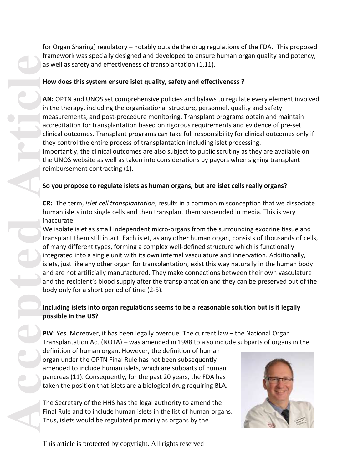for Organ Sharing) regulatory – notably outside the drug regulations of the FDA. This proposed framework was specially designed and developed to ensure human organ quality and potency, as well as safety and effectiveness of transplantation (1,11).

### **How does this system ensure islet quality, safety and effectiveness ?**

**AN:** OPTN and UNOS set comprehensive policies and bylaws to regulate every element involved in the therapy, including the organizational structure, personnel, quality and safety measurements, and post-procedure monitoring. Transplant programs obtain and maintain accreditation for transplantation based on rigorous requirements and evidence of pre-set clinical outcomes. Transplant programs can take full responsibility for clinical outcomes only if they control the entire process of transplantation including islet processing. Importantly, the clinical outcomes are also subject to public scrutiny as they are available on the UNOS website as well as taken into considerations by payors when signing transplant reimbursement contracting (1).

# **So you propose to regulate islets as human organs, but are islet cells really organs?**

**CR:** The term, *islet cell transplantation*, results in a common misconception that we dissociate human islets into single cells and then transplant them suspended in media. This is very inaccurate.

The Man in the accepted **Article**<br>
Article Conditions of CR hu in a accepted by the conditions of the social term of interesting of the social and a amount of the social particle organ particle organ take The Firm Th We isolate islet as small independent micro-organs from the surrounding exocrine tissue and transplant them still intact. Each islet, as any other human organ, consists of thousands of cells, of many different types, forming a complex well-defined structure which is functionally integrated into a single unit with its own internal vasculature and innervation. Additionally, islets, just like any other organ for transplantation, exist this way naturally in the human body and are not artificially manufactured. They make connections between their own vasculature and the recipient's blood supply after the transplantation and they can be preserved out of the body only for a short period of time (2-5).

# **Including islets into organ regulations seems to be a reasonable solution but is it legally possible in the US?**

**PW:** Yes. Moreover, it has been legally overdue. The current law – the National Organ Transplantation Act (NOTA) – was amended in 1988 to also include subparts of organs in the

definition of human organ. However, the definition of human organ under the OPTN Final Rule has not been subsequently amended to include human islets, which are subparts of human pancreas (11). Consequently, for the past 20 years, the FDA has taken the position that islets are a biological drug requiring BLA.

The Secretary of the HHS has the legal authority to amend the Final Rule and to include human islets in the list of human organs. Thus, islets would be regulated primarily as organs by the

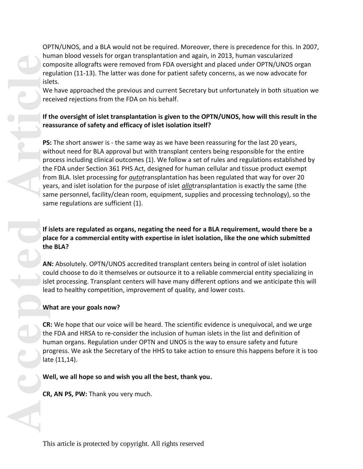OPTN/UNOS, and a BLA would not be required. Moreover, there is precedence for this. In 2007, human blood vessels for organ transplantation and again, in 2013, human vascularized composite allografts were removed from FDA oversight and placed under OPTN/UNOS organ regulation (11-13). The latter was done for patient safety concerns, as we now advocate for islets.

We have approached the previous and current Secretary but unfortunately in both situation we received rejections from the FDA on his behalf.

### **If the oversight of islet transplantation is given to the OPTN/UNOS, how will this result in the reassurance of safety and efficacy of islet isolation itself?**

**PS:** The short answer is - the same way as we have been reassuring for the last 20 years, without need for BLA approval but with transplant centers being responsible for the entire process including clinical outcomes (1). We follow a set of rules and regulations established by the FDA under Section 361 PHS Act, designed for human cellular and tissue product exempt from BLA. Islet processing for *autot*ransplantation has been regulated that way for over 20 years, and islet isolation for the purpose of islet *allo*transplantation is exactly the same (the same personnel, facility/clean room, equipment, supplies and processing technology), so the same regulations are sufficient (1).

## **If islets are regulated as organs, negating the need for a BLA requirement, would there be a place for a commercial entity with expertise in islet isolation, like the one which submitted the BLA?**

**AN:** Absolutely. OPTN/UNOS accredited transplant centers being in control of islet isolation could choose to do it themselves or outsource it to a reliable commercial entity specializing in islet processing. Transplant centers will have many different options and we anticipate this will lead to healthy competition, improvement of quality, and lower costs.

#### **What are your goals now?**

**CR:** We hope that our voice will be heard. The scientific evidence is unequivocal, and we urge the FDA and HRSA to re-consider the inclusion of human islets in the list and definition of human organs. Regulation under OPTN and UNOS is the way to ensure safety and future progress. We ask the Secretary of the HHS to take action to ensure this happens before it is too late (11,14).

**Well, we all hope so and wish you all the best, thank you.**

**CR, AN PS, PW:** Thank you very much.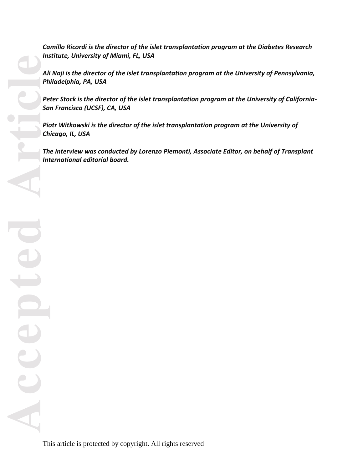*Camillo Ricordi is the director of the islet transplantation program at the Diabetes Research Institute, University of Miami, FL, USA*

*Ali Naji is the director of the islet transplantation program at the University of Pennsylvania, Philadelphia, PA, USA*

*Peter Stock is the director of the islet transplantation program at the University of California-San Francisco (UCSF), CA, USA*

*Piotr Witkowski is the director of the islet transplantation program at the University of Chicago, IL, USA*

*The interview was conducted by Lorenzo Piemonti, Associate Editor, on behalf of Transplant International editorial board.*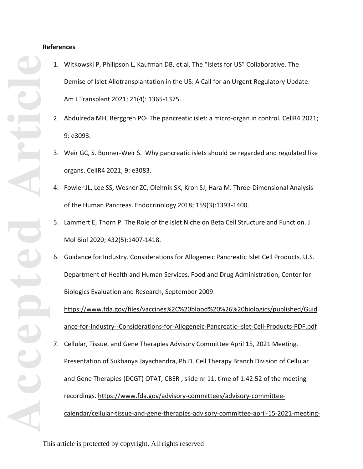#### **References**

- 1. Witkowski P, Philipson L, Kaufman DB, et al. The "Islets for US" Collaborative. The Demise of Islet Allotransplantation in the US: A Call for an Urgent Regulatory Update. Am J Transplant 2021; 21(4): 1365-1375.
- 2. Abdulreda MH, Berggren PO. The pancreatic islet: a micro-organ in control. CellR4 2021; 9: e3093.
- 3. Weir GC, S. Bonner-Weir S. Why pancreatic islets should be regarded and regulated like organs. CellR4 2021; 9: e3083.
- 4. Fowler JL, Lee SS, Wesner ZC, Olehnik SK, Kron SJ, Hara M. Three-Dimensional Analysis of the Human Pancreas. Endocrinology 2018; 159(3):1393-1400.
- 5. Lammert E, Thorn P. The Role of the Islet Niche on Beta Cell Structure and Function. J Mol Biol 2020; 432(5):1407-1418.
- 6. Guidance for Industry. Considerations for Allogeneic Pancreatic Islet Cell Products. U.S. Department of Health and Human Services, Food and Drug Administration, Center for Biologics Evaluation and Research, September 2009.

[https://www.fda.gov/files/vaccines%2C%20blood%20%26%20biologics/published/Guid](https://www.fda.gov/files/vaccines%2C%20blood%20%26%20biologics/published/Guidance-for-Industry--Considerations-for-Allogeneic-Pancreatic-Islet-Cell-Products-PDF.pdf) [ance-for-Industry--Considerations-for-Allogeneic-Pancreatic-Islet-Cell-Products-PDF.pdf](https://www.fda.gov/files/vaccines%2C%20blood%20%26%20biologics/published/Guidance-for-Industry--Considerations-for-Allogeneic-Pancreatic-Islet-Cell-Products-PDF.pdf)

7. Cellular, Tissue, and Gene Therapies Advisory Committee April 15, 2021 Meeting. Presentation of Sukhanya Jayachandra, Ph.D. Cell Therapy Branch Division of Cellular and Gene Therapies (DCGT) OTAT, CBER , slide nr 11, time of 1:42:52 of the meeting recordings. [https://www.fda.gov/advisory-committees/advisory-committee](https://www.fda.gov/advisory-committees/advisory-committee-calendar/cellular-tissue-and-gene-therapies-advisory-committee-april-15-2021-meeting-announcement-04152021)[calendar/cellular-tissue-and-gene-therapies-advisory-committee-april-15-2021-meeting-](https://www.fda.gov/advisory-committees/advisory-committee-calendar/cellular-tissue-and-gene-therapies-advisory-committee-april-15-2021-meeting-announcement-04152021)